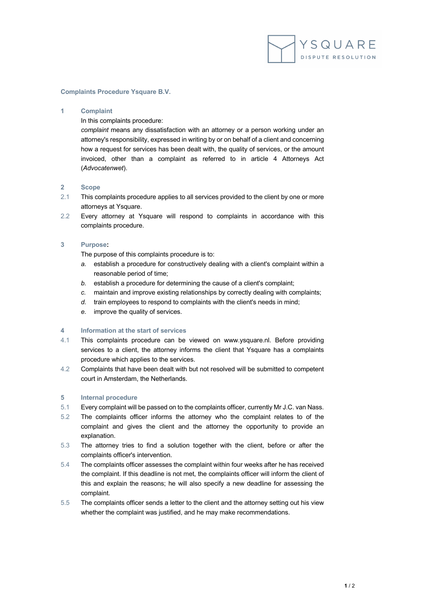

## **Complaints Procedure Ysquare B.V.**

#### **1 Complaint**

In this complaints procedure:

*complaint* means any dissatisfaction with an attorney or a person working under an attorney's responsibility, expressed in writing by or on behalf of a client and concerning how a request for services has been dealt with, the quality of services, or the amount invoiced, other than a complaint as referred to in article 4 Attorneys Act (*Advocatenwet*).

## **2 Scope**

- 2.1 This complaints procedure applies to all services provided to the client by one or more attorneys at Ysquare.
- 2.2 Every attorney at Ysquare will respond to complaints in accordance with this complaints procedure.

#### **3 Purpose:**

The purpose of this complaints procedure is to:

- *a.* establish a procedure for constructively dealing with a client's complaint within a reasonable period of time;
- *b.* establish a procedure for determining the cause of a client's complaint;
- *c.* maintain and improve existing relationships by correctly dealing with complaints;
- *d.* train employees to respond to complaints with the client's needs in mind;
- *e.* improve the quality of services.

#### **4 Information at the start of services**

- 4.1 This complaints procedure can be viewed on www.ysquare.nl. Before providing services to a client, the attorney informs the client that Ysquare has a complaints procedure which applies to the services.
- 4.2 Complaints that have been dealt with but not resolved will be submitted to competent court in Amsterdam, the Netherlands.

## **5 Internal procedure**

- 5.1 Every complaint will be passed on to the complaints officer, currently Mr J.C. van Nass.
- 5.2 The complaints officer informs the attorney who the complaint relates to of the complaint and gives the client and the attorney the opportunity to provide an explanation.
- 5.3 The attorney tries to find a solution together with the client, before or after the complaints officer's intervention.
- 5.4 The complaints officer assesses the complaint within four weeks after he has received the complaint. If this deadline is not met, the complaints officer will inform the client of this and explain the reasons; he will also specify a new deadline for assessing the complaint.
- 5.5 The complaints officer sends a letter to the client and the attorney setting out his view whether the complaint was justified, and he may make recommendations.